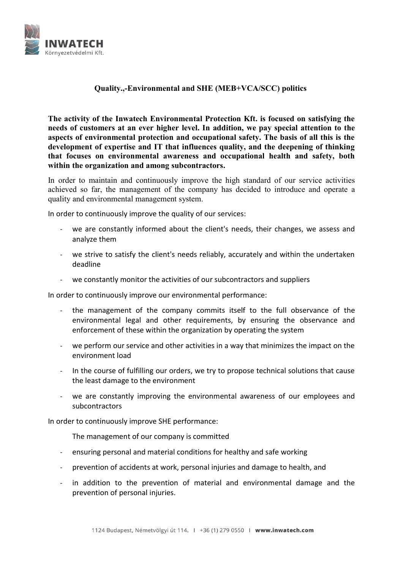

## Quality.,-Environmental and SHE (MEB+VCA/SCC) politics

The activity of the Inwatech Environmental Protection Kft. is focused on satisfying the needs of customers at an ever higher level. In addition, we pay special attention to the aspects of environmental protection and occupational safety. The basis of all this is the development of expertise and IT that influences quality, and the deepening of thinking that focuses on environmental awareness and occupational health and safety, both within the organization and among subcontractors.

In order to maintain and continuously improve the high standard of our service activities achieved so far, the management of the company has decided to introduce and operate a quality and environmental management system.

In order to continuously improve the quality of our services:

- we are constantly informed about the client's needs, their changes, we assess and analyze them
- we strive to satisfy the client's needs reliably, accurately and within the undertaken deadline
- we constantly monitor the activities of our subcontractors and suppliers

In order to continuously improve our environmental performance:

- the management of the company commits itself to the full observance of the environmental legal and other requirements, by ensuring the observance and enforcement of these within the organization by operating the system
- we perform our service and other activities in a way that minimizes the impact on the environment load
- In the course of fulfilling our orders, we try to propose technical solutions that cause the least damage to the environment
- we are constantly improving the environmental awareness of our employees and subcontractors

In order to continuously improve SHE performance:

The management of our company is committed

- ensuring personal and material conditions for healthy and safe working
- prevention of accidents at work, personal injuries and damage to health, and
- in addition to the prevention of material and environmental damage and the prevention of personal injuries.